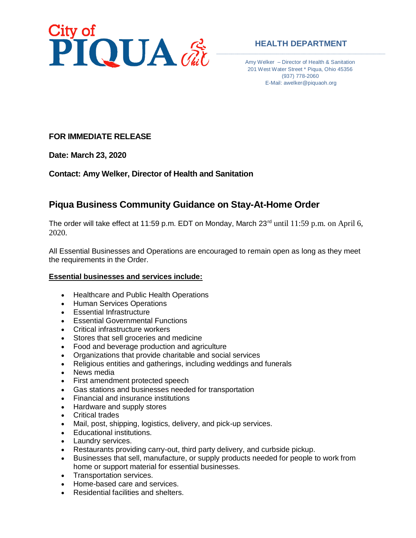

### **HEALTH DEPARTMENT**

Amy Welker – Director of Health & Sanitation 201 West Water Street \* Piqua, Ohio 45356 (937) 778-2060 E-Mail: awelker@piquaoh.org

## **FOR IMMEDIATE RELEASE**

**Date: March 23, 2020**

**Contact: Amy Welker, Director of Health and Sanitation**

# **Piqua Business Community Guidance on Stay-At-Home Order**

The order will take effect at 11:59 p.m. EDT on Monday, March 23<sup>rd</sup> until 11:59 p.m. on April 6, 2020.

All Essential Businesses and Operations are encouraged to remain open as long as they meet the requirements in the Order.

### **Essential businesses and services include:**

- Healthcare and Public Health Operations
- Human Services Operations
- Essential Infrastructure
- Essential Governmental Functions
- Critical infrastructure workers
- Stores that sell groceries and medicine
- Food and beverage production and agriculture
- Organizations that provide charitable and social services
- Religious entities and gatherings, including weddings and funerals
- News media
- First amendment protected speech
- Gas stations and businesses needed for transportation
- Financial and insurance institutions
- Hardware and supply stores
- Critical trades
- Mail, post, shipping, logistics, delivery, and pick-up services.
- Educational institutions.
- Laundry services.
- Restaurants providing carry-out, third party delivery, and curbside pickup.
- Businesses that sell, manufacture, or supply products needed for people to work from home or support material for essential businesses.
- Transportation services.
- Home-based care and services.
- Residential facilities and shelters.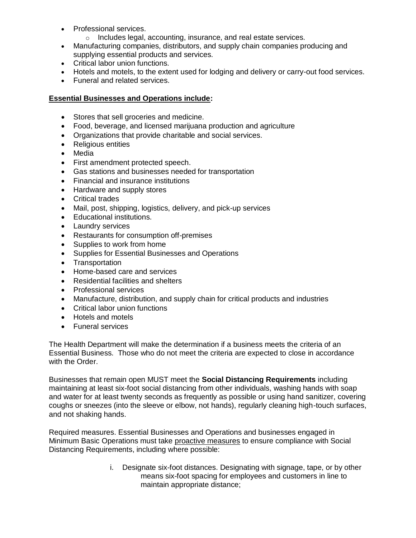- Professional services.
	- o Includes legal, accounting, insurance, and real estate services.
- Manufacturing companies, distributors, and supply chain companies producing and supplying essential products and services.
- Critical labor union functions.
- Hotels and motels, to the extent used for lodging and delivery or carry-out food services.
- Funeral and related services.

### **Essential Businesses and Operations include:**

- Stores that sell groceries and medicine.
- Food, beverage, and licensed marijuana production and agriculture
- Organizations that provide charitable and social services.
- Religious entities
- Media
- First amendment protected speech.
- Gas stations and businesses needed for transportation
- Financial and insurance institutions
- Hardware and supply stores
- Critical trades
- Mail, post, shipping, logistics, delivery, and pick-up services
- Educational institutions.
- Laundry services
- Restaurants for consumption off-premises
- Supplies to work from home
- Supplies for Essential Businesses and Operations
- Transportation
- Home-based care and services
- Residential facilities and shelters
- Professional services
- Manufacture, distribution, and supply chain for critical products and industries
- Critical labor union functions
- Hotels and motels
- Funeral services

The Health Department will make the determination if a business meets the criteria of an Essential Business. Those who do not meet the criteria are expected to close in accordance with the Order.

Businesses that remain open MUST meet the **Social Distancing Requirements** including maintaining at least six-foot social distancing from other individuals, washing hands with soap and water for at least twenty seconds as frequently as possible or using hand sanitizer, covering coughs or sneezes (into the sleeve or elbow, not hands), regularly cleaning high-touch surfaces, and not shaking hands.

Required measures. Essential Businesses and Operations and businesses engaged in Minimum Basic Operations must take proactive measures to ensure compliance with Social Distancing Requirements, including where possible:

> i. Designate six-foot distances. Designating with signage, tape, or by other means six-foot spacing for employees and customers in line to maintain appropriate distance;